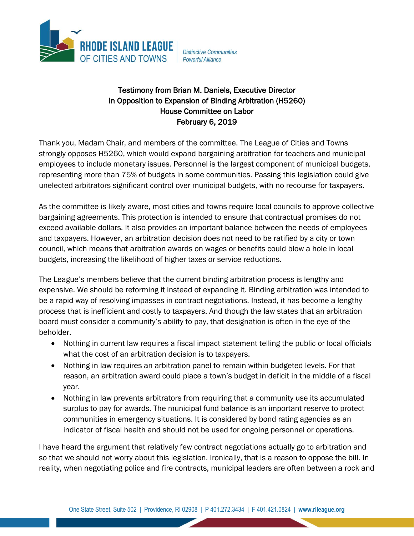

**Distinctive Communities** Powerful Alliance

## Testimony from Brian M. Daniels, Executive Director In Opposition to Expansion of Binding Arbitration (H5260) House Committee on Labor February 6, 2019

Thank you, Madam Chair, and members of the committee. The League of Cities and Towns strongly opposes H5260, which would expand bargaining arbitration for teachers and municipal employees to include monetary issues. Personnel is the largest component of municipal budgets, representing more than 75% of budgets in some communities. Passing this legislation could give unelected arbitrators significant control over municipal budgets, with no recourse for taxpayers.

As the committee is likely aware, most cities and towns require local councils to approve collective bargaining agreements. This protection is intended to ensure that contractual promises do not exceed available dollars. It also provides an important balance between the needs of employees and taxpayers. However, an arbitration decision does not need to be ratified by a city or town council, which means that arbitration awards on wages or benefits could blow a hole in local budgets, increasing the likelihood of higher taxes or service reductions.

The League's members believe that the current binding arbitration process is lengthy and expensive. We should be reforming it instead of expanding it. Binding arbitration was intended to be a rapid way of resolving impasses in contract negotiations. Instead, it has become a lengthy process that is inefficient and costly to taxpayers. And though the law states that an arbitration board must consider a community's ability to pay, that designation is often in the eye of the beholder.

- Nothing in current law requires a fiscal impact statement telling the public or local officials what the cost of an arbitration decision is to taxpayers.
- Nothing in law requires an arbitration panel to remain within budgeted levels. For that reason, an arbitration award could place a town's budget in deficit in the middle of a fiscal year.
- Nothing in law prevents arbitrators from requiring that a community use its accumulated surplus to pay for awards. The municipal fund balance is an important reserve to protect communities in emergency situations. It is considered by bond rating agencies as an indicator of fiscal health and should not be used for ongoing personnel or operations.

I have heard the argument that relatively few contract negotiations actually go to arbitration and so that we should not worry about this legislation. Ironically, that is a reason to oppose the bill. In reality, when negotiating police and fire contracts, municipal leaders are often between a rock and